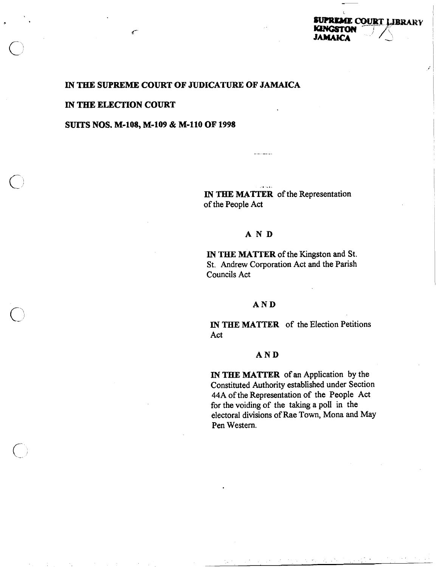# **IN THE SUPREME COURT OF JUDICATURE OF JAMAICA**

#### **IN THE ELECTION COURT**

س

# **SUTS NOS. M-108, M-109** & **M-110 OF 1998**

. .. **IN THE MATTER** of the Representation of the People Act

## AND

**IN THE MATTER** of the Kingston and St. St. Andrew Corporation Act and the Parish Councils Act

## **AND**

**IN THE MATTER** of the Election Petitions Act

#### **AND**

**IN THE MATTER** of an Application by the Constituted Authority established under Section 44A of the Representation of the People Act for the voiding of the taking a poll in the electoral divisions of Rae Town, Mona and May Pen Western.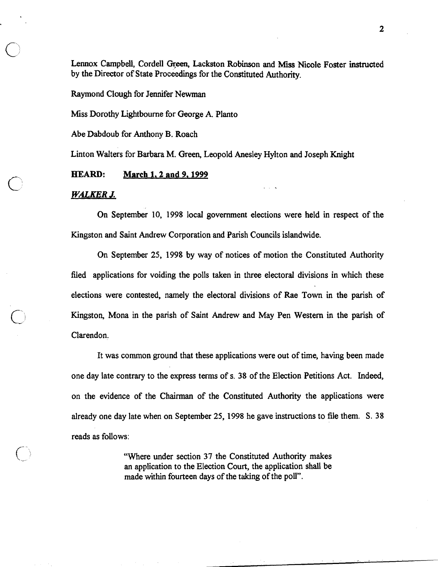Lennox Campbell, Cordell Green, Lackston Robinson and Miss Nicole Foster instructed by the Director of State proceedings for the Constituted Authority.

Raymond Clough for Jennifer Newrnan

Miss Dorothy Lightbourne for George A. Planto

Abe Dabdoub for Anthony B. Roach

Linton Walters for Barbara M. Green, Leopold Anesley Hylton and Joseph Knight

#### **HEARD: March 1.2 and 9,1999**

#### **WALKER J.**

On September **10, 1998** local government elections were held in respect of the Kingston and Saint Andrew Corporation and Parish Councils islandwide.

On September 25, **1998** by way of notices of motion the Constituted Authority filed applications for voiding the polls taken in three electoral divisions in which these elections were contested, namely the electoral divisions of Rae Town in the parish of Kingston, Mona in the parish of Saint Andrew and May Pen Western in the parish of Clarendon.

It was common ground that these applications were out of time, having been made one day late contrary to the express terms of s. **38** of the Election Petitions Act. Indeed, on the evidence of the Chairman of the Constituted Authority the applications were already one day late when on September 25, **1998** he gave instructions to file them. S. 38 reads as follows:

> "Where under section 37 the Constituted Authority makes an application to the Election Court, the application shall be made within fourteen days of the taking of the poll".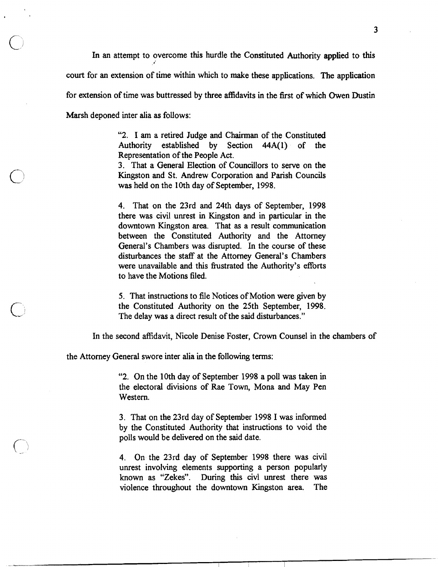In an attempt to overcome this hurdle the Constituted Authority applied to this court for an extension of time within which to make these applications. The application for extension of time was buttressed by three affidavits in the first of which Owen Dustin Marsh deponed inter alia as follows:

> "2. I am a retired Judge and Chairman of the Constituted Authority established by Section 44A(1) of the Representation of the People Act.

> 3. That a General Election of Councillors to serve on the Kingston and St. Andrew Corporation and Parish Councils was held on the 10th day of September, 1998.

> 4. That on the 23rd and 24th days of September, 1998 there was civil unrest in Kingston and in particular in the downtown Kingston area. That as a result communication between the Constituted Authority and the Attorney General's Chambers was disrupted. In the course of these disturbances the staff at the Attorney General's Chambers were unavailable and this frustrated the Authority's efforts to have the Motions filed.

> 5. That instructions to file Notices of Motion were given by the Constituted Authority on the 25th September, 1998. The delay was a direct result of the said disturbances."

In the second affidavit, Nicole Denise Foster, Crown Counsel in the chambers of

the Attorney General swore inter alia in the following terms:

"2. On the 10th day of September 1998 a poll was taken in the electoral divisions of Rae Town, Mona and May Pen Western.

3. That on the 23rd day of September 1998 I was informed by the Constituted Authority that instructions to void the polls would be delivered on the said date.

4. On the 23rd day of September 1998 there was civil unrest involving elements supporting a person popularly known as "Zekes". During this civl unrest there was violence throughout the downtown Kingston area. The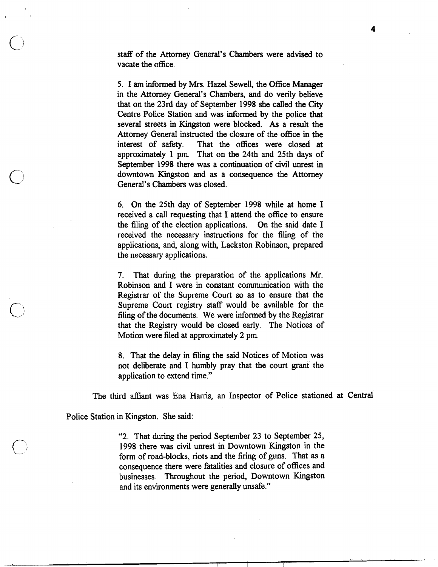staff of the Attorney General's Chambers were advised to vacate the office.

5. I am informed by Mrs. Hazel Sewell, the Office Manager in the Attorney General's Chambers, and do verily believe that on the 23rd day of September **1998** she called the City Centre Police Station and was informed by the police that several streets in Kingston were blocked. As a result the Attorney General instructed the closure of the office in the interest of safety. That the offices were closed at approximately **1** pm. That on the 24th and 25th days of September **1998** there was a continuation of civil unrest in downtown Kingston and as a consequence the Attorney General's Chambers was closed.

6. On the 25th day of September **1998** while at home I received a call requesting that I attend the office to ensure the filing of the election applications. On the said date I received the necessary instructions for the filing of the applications, and, along with, Lackston Robinson, prepared the necessary applications.

7. That during the preparation of the applications Mr. Robinson and I were in constant communication with the Registrar of the Supreme Court so as to ensure that the Supreme Court registry staff would be available for the filing of the documents. We were informed by the Registrar that the Registry would be closed early. The Notices of Motion were filed at approximately 2 pm.

8. That the delay in filing the said Notices of Motion was not deliberate and I humbly pray that the court grant the application to extend time."

The third afliant was Ena Harris, an Inspector of Police stationed at Central

Police Station in Kingston. She said:

"2. That during the period September 23 to September 25, **1998** there was civil unrest in Downtown Kingston in the form of road-blocks, riots and the firing of guns. That as a consequence there were fatalities and closure of offices and businesses. Throughout the period, Downtown Kingston and its environments were generally unsafe."

4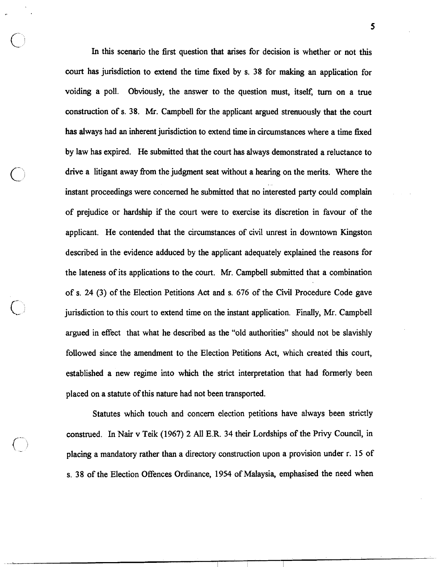In this scenario the first question that arises for decision is whether or not this court has jurisdiction to extend the time fixed by s. **38** for making an application for voiding a poll. Obviously, the answer to the question must, itself, **turn** on a true construction of s. **38.** Mr. Campbell for the applicant argued strenuously that the court has always had an inherent jurisdiction to extend time in circumstances where a time fixed by law has expired. He submitted that the court has always demonstrated a reluctance to drive a litigant away from the judgment seat without a hearing on the merits. Where the instant proceedings were concerned he submitted that no interested party could complain of prejudice or hardship if the court were to exercise its discretion in favour of the applicant. He contended that the circumstances of civil unrest in downtown Kingston described in the evidence adduced by the applicant adequately explained the reasons for the lateness of its applications to the court. Mr. Campbell submitted that a combination of s. **24 (3)** of the Election Petitions Act and s. 676 of the Civil Procedure Code gave jurisdiction to this court to extend time on the instant application. Finally, Mr. Campbell argued in effect that what he described as the "old authorities" should not be slavishly followed since the amendment to the Election Petitions Act, which created this court, established a new regime into which the strict interpretation that had formerly been placed on a statute of this nature had not been transported.

Statutes which touch and concern election petitions have always been strictly construed. In Nair v Teik **(1967) 2** AU **E.R. 34** their Lordships of the Privy Council, in placing a mandatory rather than a directory construction upon a provision under r. **15** of s. **38** of the Election Offences Ordinance, **1954** of Malaysia, emphasised the need when

5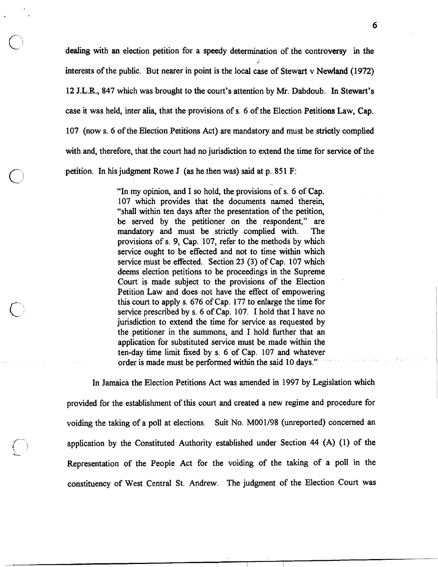dealing with an election petition for a speedy determination of the controversy in the interests of the public. But nearer in point is the local case of Stewart v Newland (1972) 12 J.L.R., 847 which was brought to the court's attention by Mr. Dabdoub. In Stewart's case it was held, inter alia, that the provisions of s. 6 of the Election Petitions Law, Cap. 107 (now s. 6 of the Election Petitions Act) are mandatory and must be strictly complied with and, therefore, that the court had no jurisdiction to extend the time for service of the petition. In his judgment Rowe J (as he then was) said at p. 851 F:

> "In my opinion, and I so hold, the provisions of s. 6 of Cap. 107 which provides that the documents named therein, "shall within ten days after the presentation of the petition, be served by the petitioner on the respondent," are mandatory and must be strictly complied with. The provisions of s. 9, Cap. 107, refer to the methods by which service ought to be effected and not to time within which service must be effected. Section 23 (3) of Cap. 107 which deems election petitions to be proceedings in the Supreme Court is made subject to the provisions of the Election Petition Law and does not have the effect of empowering this court to apply s. 676 of Cap. 177 to enlarge the time for service prescribed by s. 6 of Cap. 107. I hold that I have no jurisdiction to extend the time for service as requested by the petitioner in the summons, and I hold further that an application for substituted service must be made within the ten-day time limit fixed by s. 6 of Cap. 107 and whatever order is made must be performed within the said 10 days."

In Jamaica the Election Petitions Act was amended in 1997 by Legislation which provided for the establishment of this court and created a new regime and procedure for voiding the taking of a poll at elections. Suit No. MOO1198 (unreported) concerned an application by the Constituted Authority established under Section 44 (A) (1) of the Representation of the People Act for the voiding of the taking of a poll in the constituency of West Central St. Andrew. The judgment of the Election Court was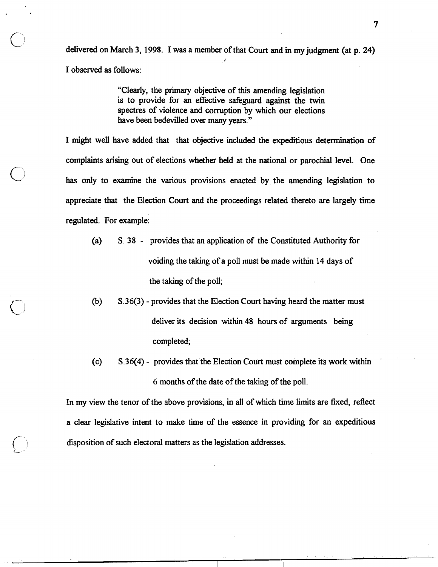delivered on March 3, 1998. I was a member of that Court and in my judgment (at p. 24) I observed as follows:

> "Clearly, the primary objective of this amending legislation is to provide for an effective safeguard against the twin spectres of violence and corruption by which our elections have been bedevilled over many years."

I might well have added that that objective included the expeditious determination of complaints arising out of elections whether held at the national or parochial level. One has only to examine the various provisions enacted by the amending legislation to appreciate that the Election Court and the proceedings related thereto are largely time regulated. For example:

- (a) S. 38 provides that an application of the Constituted Authority for voiding the taking of a poll must be made within 14 days of the taking of the poll;
- **(b)** S.36(3) provides that the Election Court having heard the matter must deliver its decision within 48 hours of arguments being completed;
- (c) S.36(4) provides that the Election Court must complete its work within 6 months of the date of the taking of the poll.

In my view the tenor of the above provisions, in all of which time limits are fixed, reflect a clear legislative intent to make time of the essence in providing for an expeditious disposition of such electoral matters as the legislation addresses.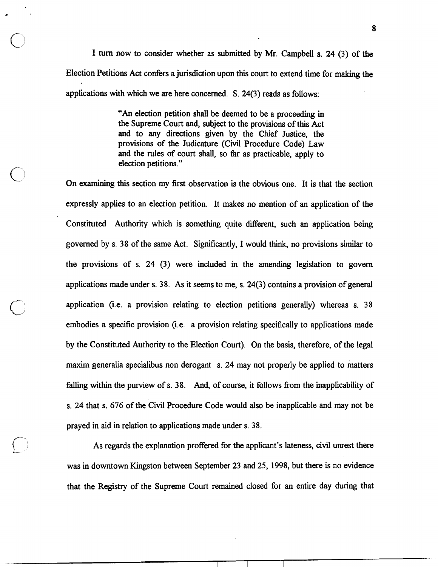I turn now to consider whether as submitted by Mr. Campbell s. 24 (3) of the Election Petitions Act confers a jurisdiction upon this court to extend time for making the applications with which we are here concerned. S. 24(3) reads as follows:

> "An election petition shall be deemed to be a proceeding in the Supreme Court and, subject to the provisions of this Act and to any directions given by the Chief Justice, the provisions of the Judicature (Civil Procedure Code) Law and the rules of court shall, so far as practicable, apply to

election petitions."<br>
On examining this section my first observation is the obvious one. It is that the section expressly applies to an election petition. It makes no mention of an application of the Constituted Authority which is something quite different, such an application being governed by s. 38 of the same Act. Significantly, I would think, no provisions similar to the provisions of s. 24 (3) were included in the amending legislation to govern applications made under s. 38. As it seems to me, s. 24(3) contains a provision of general application (i.e. a provision relating to election petitions generally) whereas s. 38 embodies a specific provision (i.e. a provision relating specifically to applications made by the Constituted Authority to the Election Court). On the basis, therefore, of the legal maxim generalia specialibus non derogant s. 24 may not properly be applied to matters falling within the purview of s. 38. And, of course, it follows from the inapplicability of s. 24 that s. 676 of the Civil Procedure Code would also be inapplicable and may not be prayed in aid in relation to applications made under s. 38.

> As regards the explanation proffered for the applicant's lateness, civil unrest there was in downtown Kingston between September 23 and 25, 1998, but there is no evidence that the Registry of the Supreme Court remained closed for an entire day during that